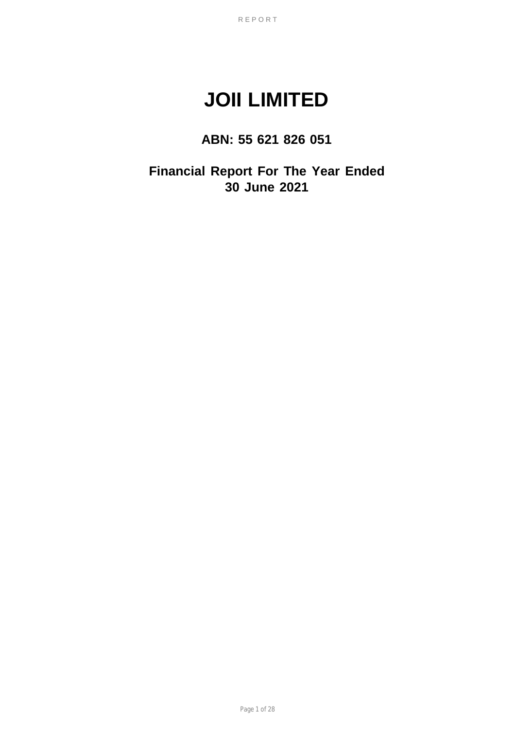# **JOII LIMITED**

# **ABN: 55 621 826 051**

**Financial Report For The Year Ended 30 June 2021**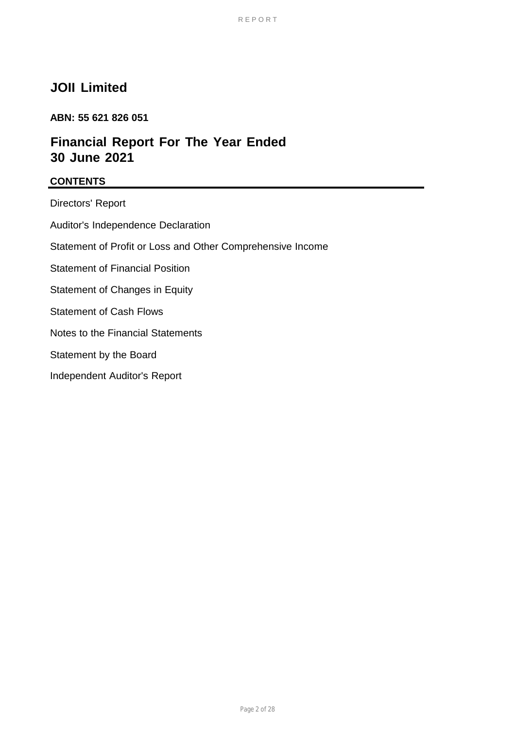# **JOII Limited**

# **ABN: 55 621 826 051**

# **Financial Report For The Year Ended 30 June 2021**

## **CONTENTS**

Directors' Report Auditor's Independence Declaration Statement of Profit or Loss and Other Comprehensive Income Statement of Financial Position Statement of Changes in Equity Statement of Cash Flows Notes to the Financial Statements Statement by the Board Independent Auditor's Report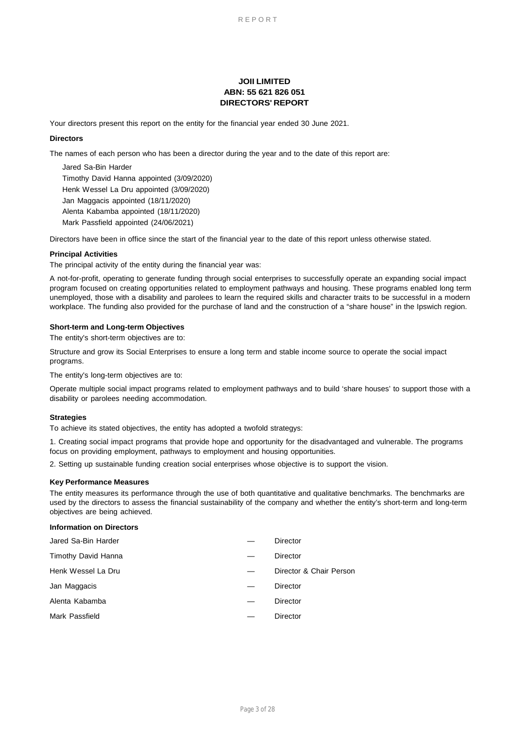### **JOII LIMITED ABN: 55 621 826 051 DIRECTORS' REPORT**

Your directors present this report on the entity for the financial year ended 30 June 2021.

### **Directors**

The names of each person who has been a director during the year and to the date of this report are:

Jared Sa-Bin Harder Timothy David Hanna appointed (3/09/2020) Henk Wessel La Dru appointed (3/09/2020) Mark Passfield appointed (24/06/2021) Jan Maggacis appointed (18/11/2020) Alenta Kabamba appointed (18/11/2020)

Directors have been in office since the start of the financial year to the date of this report unless otherwise stated.

### **Principal Activities**

The principal activity of the entity during the financial year was:

A not-for-profit, operating to generate funding through social enterprises to successfully operate an expanding social impact program focused on creating opportunities related to employment pathways and housing. These programs enabled long term unemployed, those with a disability and parolees to learn the required skills and character traits to be successful in a modern workplace. The funding also provided for the purchase of land and the construction of a "share house" in the Ipswich region.

### **Short-term and Long-term Objectives**

The entity's short-term objectives are to:

Structure and grow its Social Enterprises to ensure a long term and stable income source to operate the social impact programs.

The entity's long-term objectives are to:

Operate multiple social impact programs related to employment pathways and to build 'share houses' to support those with a disability or parolees needing accommodation.

### **Strategies**

To achieve its stated objectives, the entity has adopted a twofold strategys:

1. Creating social impact programs that provide hope and opportunity for the disadvantaged and vulnerable. The programs focus on providing employment, pathways to employment and housing opportunities.

2. Setting up sustainable funding creation social enterprises whose objective is to support the vision.

### **Key Performance Measures**

The entity measures its performance through the use of both quantitative and qualitative benchmarks. The benchmarks are used by the directors to assess the financial sustainability of the company and whether the entity's short-term and long-term objectives are being achieved.

### **Information on Directors**

| Director & Chair Person |
|-------------------------|
|                         |
|                         |
|                         |
|                         |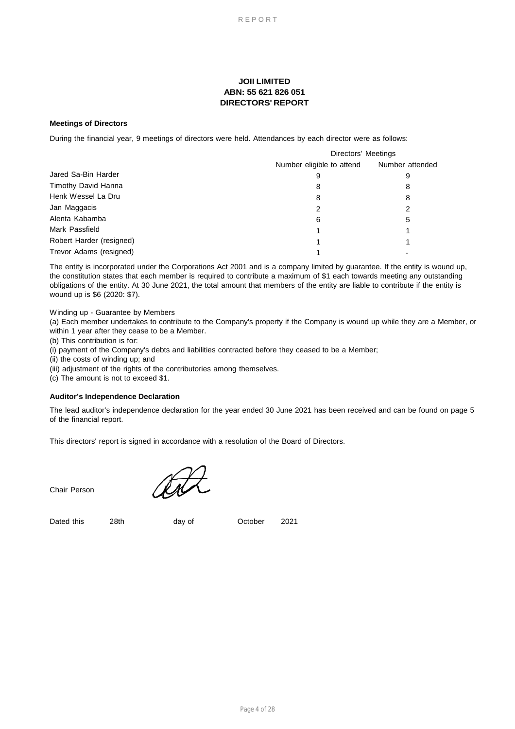## **JOII LIMITED ABN: 55 621 826 051 DIRECTORS' REPORT**

### **Meetings of Directors**

During the financial year, 9 meetings of directors were held. Attendances by each director were as follows:

|                          | Directors' Meetings       |                 |  |
|--------------------------|---------------------------|-----------------|--|
|                          | Number eligible to attend | Number attended |  |
| Jared Sa-Bin Harder      | 9                         | 9               |  |
| Timothy David Hanna      | 8                         | 8               |  |
| Henk Wessel La Dru       | 8                         | 8               |  |
| Jan Maggacis             | 2                         | 2               |  |
| Alenta Kabamba           | 6                         | 5               |  |
| Mark Passfield           |                           |                 |  |
| Robert Harder (resigned) |                           |                 |  |
| Trevor Adams (resigned)  |                           |                 |  |

The entity is incorporated under the Corporations Act 2001 and is a company limited by guarantee. If the entity is wound up, the constitution states that each member is required to contribute a maximum of \$1 each towards meeting any outstanding obligations of the entity. At 30 June 2021, the total amount that members of the entity are liable to contribute if the entity is wound up is \$6 (2020: \$7).

Winding up - Guarantee by Members

(a) Each member undertakes to contribute to the Company's property if the Company is wound up while they are a Member, or within 1 year after they cease to be a Member.

(b) This contribution is for:

(i) payment of the Company's debts and liabilities contracted before they ceased to be a Member;

(ii) the costs of winding up; and

(iii) adjustment of the rights of the contributories among themselves.

(c) The amount is not to exceed \$1.

### **Auditor's Independence Declaration**

The lead auditor's independence declaration for the year ended 30 June 2021 has been received and can be found on page 5 of the financial report.

This directors' report is signed in accordance with a resolution of the Board of Directors.

Chair Person

Dated this

day of

28th day of October 2021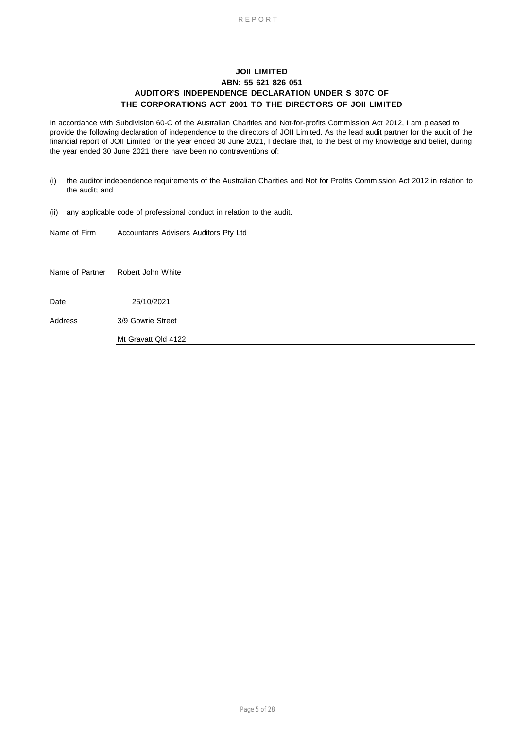### **JOII LIMITED ABN: 55 621 826 051 AUDITOR'S INDEPENDENCE DECLARATION UNDER S 307C OF THE CORPORATIONS ACT 2001 TO THE DIRECTORS OF JOII LIMITED**

In accordance with Subdivision 60-C of the Australian Charities and Not-for-profits Commission Act 2012, I am pleased to provide the following declaration of independence to the directors of JOII Limited. As the lead audit partner for the audit of the financial report of JOII Limited for the year ended 30 June 2021, I declare that, to the best of my knowledge and belief, during the year ended 30 June 2021 there have been no contraventions of:

- (i) the auditor independence requirements of the Australian Charities and Not for Profits Commission Act 2012 in relation to the audit; and
- (ii) any applicable code of professional conduct in relation to the audit.

| Name of Firm    | Accountants Advisers Auditors Pty Ltd |
|-----------------|---------------------------------------|
|                 |                                       |
|                 |                                       |
| Name of Partner | Robert John White                     |
|                 |                                       |
| Date            | 25/10/2021                            |
| Address         | 3/9 Gowrie Street                     |
|                 | Mt Gravatt Qld 4122                   |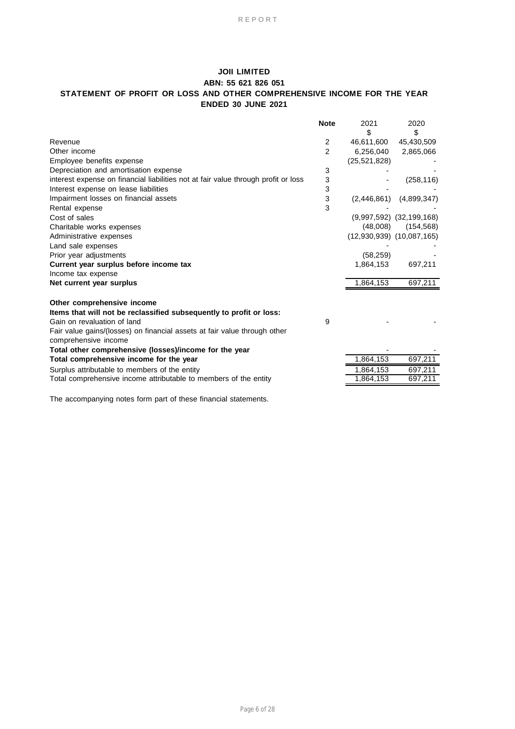## **JOII LIMITED ABN: 55 621 826 051 STATEMENT OF PROFIT OR LOSS AND OTHER COMPREHENSIVE INCOME FOR THE YEAR ENDED 30 JUNE 2021**

|                                                                                                   | <b>Note</b>    | 2021           | 2020                          |
|---------------------------------------------------------------------------------------------------|----------------|----------------|-------------------------------|
|                                                                                                   |                | \$             | \$                            |
| Revenue                                                                                           | 2              | 46,611,600     | 45,430,509                    |
| Other income                                                                                      | $\overline{2}$ | 6,256,040      | 2,865,066                     |
| Employee benefits expense                                                                         |                | (25, 521, 828) |                               |
| Depreciation and amortisation expense                                                             | 3              |                |                               |
| interest expense on financial liabilities not at fair value through profit or loss                | 3              |                | (258, 116)                    |
| Interest expense on lease liabilities                                                             | 3              |                |                               |
| Impairment losses on financial assets                                                             | 3              | (2,446,861)    | (4,899,347)                   |
| Rental expense                                                                                    | 3              |                |                               |
| Cost of sales                                                                                     |                |                | $(9,997,592)$ $(32,199,168)$  |
| Charitable works expenses                                                                         |                | (48,008)       | (154, 568)                    |
| Administrative expenses                                                                           |                |                | $(12,930,939)$ $(10,087,165)$ |
| Land sale expenses                                                                                |                |                |                               |
| Prior year adjustments                                                                            |                | (58, 259)      |                               |
| Current year surplus before income tax                                                            |                | 1,864,153      | 697,211                       |
| Income tax expense                                                                                |                |                |                               |
| Net current year surplus                                                                          |                | 1,864,153      | 697,211                       |
| Other comprehensive income                                                                        |                |                |                               |
| Items that will not be reclassified subsequently to profit or loss:                               |                |                |                               |
| Gain on revaluation of land                                                                       | 9              |                |                               |
| Fair value gains/(losses) on financial assets at fair value through other<br>comprehensive income |                |                |                               |
| Total other comprehensive (losses)/income for the year                                            |                |                |                               |
| Total comprehensive income for the year                                                           |                | 1,864,153      | 697,211                       |
| Surplus attributable to members of the entity                                                     |                | 1,864,153      | 697,211                       |
| Total comprehensive income attributable to members of the entity                                  |                | 1,864,153      | 697,211                       |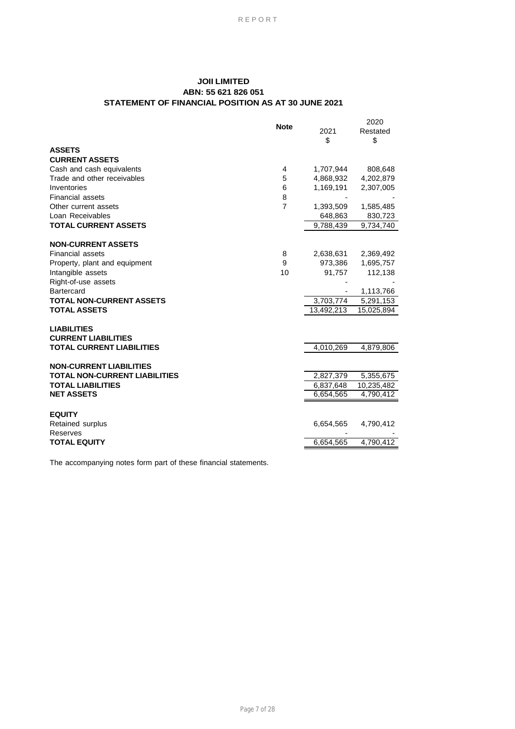## **JOII LIMITED ABN: 55 621 826 051 STATEMENT OF FINANCIAL POSITION AS AT 30 JUNE 2021**

| <b>CURRENT ASSETS</b><br>Cash and cash equivalents<br>1,707,944<br>808,648<br>4<br>Trade and other receivables<br>5<br>4,868,932<br>4,202,879<br>Inventories<br>1,169,191<br>6<br>2,307,005<br><b>Financial assets</b><br>8<br>$\overline{7}$<br>Other current assets<br>1,393,509<br>1,585,485<br>Loan Receivables<br>648,863<br>830,723<br><b>TOTAL CURRENT ASSETS</b><br>9,734,740<br>9,788,439<br>8<br>2,638,631<br>2,369,492<br>Property, plant and equipment<br>9<br>973,386<br>1,695,757<br>91,757<br>112,138<br>10<br>1,113,766<br>3,703,774<br>5,291,153<br>13,492,213<br>15,025,894<br><b>TOTAL CURRENT LIABILITIES</b><br>4,010,269<br>$\sqrt{4,879,806}$<br>2,827,379<br>5,355,675<br>6,837,648<br>10,235,482<br>6,654,565<br>4,790,412<br><b>EQUITY</b><br>6,654,565<br>4,790,412<br>6,654,565<br>4,790,412 |                                                  | <b>Note</b> | 2021<br>\$ | 2020<br>Restated<br>\$ |
|--------------------------------------------------------------------------------------------------------------------------------------------------------------------------------------------------------------------------------------------------------------------------------------------------------------------------------------------------------------------------------------------------------------------------------------------------------------------------------------------------------------------------------------------------------------------------------------------------------------------------------------------------------------------------------------------------------------------------------------------------------------------------------------------------------------------------|--------------------------------------------------|-------------|------------|------------------------|
|                                                                                                                                                                                                                                                                                                                                                                                                                                                                                                                                                                                                                                                                                                                                                                                                                          | <b>ASSETS</b>                                    |             |            |                        |
|                                                                                                                                                                                                                                                                                                                                                                                                                                                                                                                                                                                                                                                                                                                                                                                                                          |                                                  |             |            |                        |
|                                                                                                                                                                                                                                                                                                                                                                                                                                                                                                                                                                                                                                                                                                                                                                                                                          |                                                  |             |            |                        |
|                                                                                                                                                                                                                                                                                                                                                                                                                                                                                                                                                                                                                                                                                                                                                                                                                          |                                                  |             |            |                        |
|                                                                                                                                                                                                                                                                                                                                                                                                                                                                                                                                                                                                                                                                                                                                                                                                                          |                                                  |             |            |                        |
|                                                                                                                                                                                                                                                                                                                                                                                                                                                                                                                                                                                                                                                                                                                                                                                                                          |                                                  |             |            |                        |
|                                                                                                                                                                                                                                                                                                                                                                                                                                                                                                                                                                                                                                                                                                                                                                                                                          |                                                  |             |            |                        |
|                                                                                                                                                                                                                                                                                                                                                                                                                                                                                                                                                                                                                                                                                                                                                                                                                          |                                                  |             |            |                        |
|                                                                                                                                                                                                                                                                                                                                                                                                                                                                                                                                                                                                                                                                                                                                                                                                                          |                                                  |             |            |                        |
|                                                                                                                                                                                                                                                                                                                                                                                                                                                                                                                                                                                                                                                                                                                                                                                                                          | <b>NON-CURRENT ASSETS</b>                        |             |            |                        |
|                                                                                                                                                                                                                                                                                                                                                                                                                                                                                                                                                                                                                                                                                                                                                                                                                          | <b>Financial assets</b>                          |             |            |                        |
|                                                                                                                                                                                                                                                                                                                                                                                                                                                                                                                                                                                                                                                                                                                                                                                                                          |                                                  |             |            |                        |
|                                                                                                                                                                                                                                                                                                                                                                                                                                                                                                                                                                                                                                                                                                                                                                                                                          | Intangible assets                                |             |            |                        |
|                                                                                                                                                                                                                                                                                                                                                                                                                                                                                                                                                                                                                                                                                                                                                                                                                          | Right-of-use assets                              |             |            |                        |
|                                                                                                                                                                                                                                                                                                                                                                                                                                                                                                                                                                                                                                                                                                                                                                                                                          | Bartercard                                       |             |            |                        |
|                                                                                                                                                                                                                                                                                                                                                                                                                                                                                                                                                                                                                                                                                                                                                                                                                          | <b>TOTAL NON-CURRENT ASSETS</b>                  |             |            |                        |
|                                                                                                                                                                                                                                                                                                                                                                                                                                                                                                                                                                                                                                                                                                                                                                                                                          | <b>TOTAL ASSETS</b>                              |             |            |                        |
|                                                                                                                                                                                                                                                                                                                                                                                                                                                                                                                                                                                                                                                                                                                                                                                                                          | <b>LIABILITIES</b><br><b>CURRENT LIABILITIES</b> |             |            |                        |
|                                                                                                                                                                                                                                                                                                                                                                                                                                                                                                                                                                                                                                                                                                                                                                                                                          |                                                  |             |            |                        |
|                                                                                                                                                                                                                                                                                                                                                                                                                                                                                                                                                                                                                                                                                                                                                                                                                          | <b>NON-CURRENT LIABILITIES</b>                   |             |            |                        |
|                                                                                                                                                                                                                                                                                                                                                                                                                                                                                                                                                                                                                                                                                                                                                                                                                          | <b>TOTAL NON-CURRENT LIABILITIES</b>             |             |            |                        |
|                                                                                                                                                                                                                                                                                                                                                                                                                                                                                                                                                                                                                                                                                                                                                                                                                          | <b>TOTAL LIABILITIES</b>                         |             |            |                        |
|                                                                                                                                                                                                                                                                                                                                                                                                                                                                                                                                                                                                                                                                                                                                                                                                                          | <b>NET ASSETS</b>                                |             |            |                        |
|                                                                                                                                                                                                                                                                                                                                                                                                                                                                                                                                                                                                                                                                                                                                                                                                                          |                                                  |             |            |                        |
|                                                                                                                                                                                                                                                                                                                                                                                                                                                                                                                                                                                                                                                                                                                                                                                                                          | Retained surplus<br>Reserves                     |             |            |                        |
|                                                                                                                                                                                                                                                                                                                                                                                                                                                                                                                                                                                                                                                                                                                                                                                                                          | <b>TOTAL EQUITY</b>                              |             |            |                        |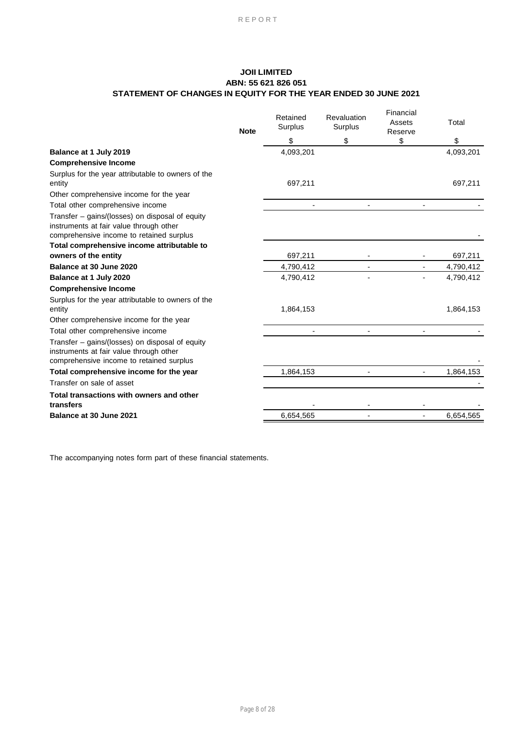## **JOII LIMITED ABN: 55 621 826 051 STATEMENT OF CHANGES IN EQUITY FOR THE YEAR ENDED 30 JUNE 2021**

|                                                                                                                                        | <b>Note</b> | Retained<br>Surplus | Revaluation<br>Surplus | Financial<br>Assets<br>Reserve | Total     |
|----------------------------------------------------------------------------------------------------------------------------------------|-------------|---------------------|------------------------|--------------------------------|-----------|
|                                                                                                                                        |             | \$                  | \$                     | \$                             | \$        |
| Balance at 1 July 2019                                                                                                                 |             | 4,093,201           |                        |                                | 4,093,201 |
| <b>Comprehensive Income</b>                                                                                                            |             |                     |                        |                                |           |
| Surplus for the year attributable to owners of the<br>entity                                                                           |             | 697,211             |                        |                                | 697,211   |
| Other comprehensive income for the year                                                                                                |             |                     |                        |                                |           |
| Total other comprehensive income                                                                                                       |             |                     |                        |                                |           |
| Transfer – gains/(losses) on disposal of equity<br>instruments at fair value through other<br>comprehensive income to retained surplus |             |                     |                        |                                |           |
| Total comprehensive income attributable to                                                                                             |             |                     |                        |                                |           |
| owners of the entity                                                                                                                   |             | 697,211             |                        |                                | 697,211   |
| Balance at 30 June 2020                                                                                                                |             | 4,790,412           |                        |                                | 4,790,412 |
| Balance at 1 July 2020                                                                                                                 |             | 4,790,412           |                        |                                | 4,790,412 |
| <b>Comprehensive Income</b>                                                                                                            |             |                     |                        |                                |           |
| Surplus for the year attributable to owners of the<br>entity<br>Other comprehensive income for the year                                |             | 1,864,153           |                        |                                | 1,864,153 |
| Total other comprehensive income                                                                                                       |             |                     |                        |                                |           |
| Transfer – gains/(losses) on disposal of equity<br>instruments at fair value through other<br>comprehensive income to retained surplus |             |                     |                        |                                |           |
| Total comprehensive income for the year                                                                                                |             | 1,864,153           |                        |                                | 1,864,153 |
| Transfer on sale of asset                                                                                                              |             |                     |                        |                                |           |
| Total transactions with owners and other                                                                                               |             |                     |                        |                                |           |
| transfers                                                                                                                              |             |                     |                        |                                |           |
| Balance at 30 June 2021                                                                                                                |             | 6,654,565           |                        |                                | 6,654,565 |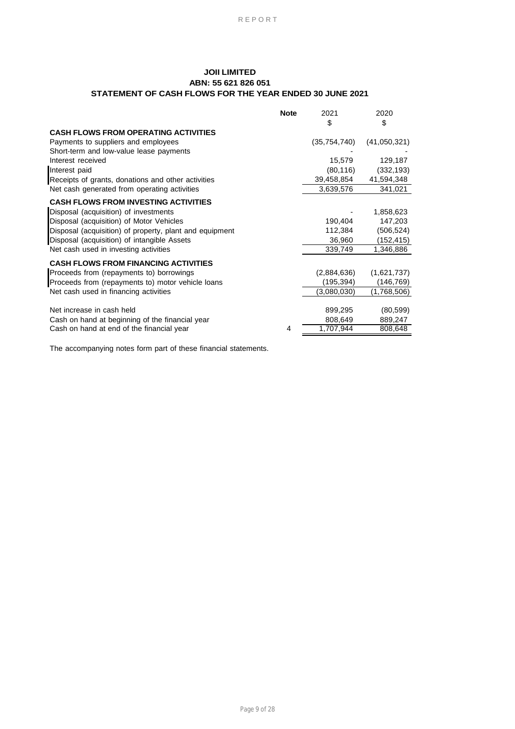## **JOII LIMITED ABN: 55 621 826 051 STATEMENT OF CASH FLOWS FOR THE YEAR ENDED 30 JUNE 2021**

|                                                         | <b>Note</b> | 2021           | 2020         |
|---------------------------------------------------------|-------------|----------------|--------------|
|                                                         |             | S              | \$           |
| <b>CASH FLOWS FROM OPERATING ACTIVITIES</b>             |             |                |              |
| Payments to suppliers and employees                     |             | (35, 754, 740) | (41,050,321) |
| Short-term and low-value lease payments                 |             |                |              |
| Interest received                                       |             | 15,579         | 129,187      |
| Interest paid                                           |             | (80, 116)      | (332, 193)   |
| Receipts of grants, donations and other activities      |             | 39,458,854     | 41,594,348   |
| Net cash generated from operating activities            |             | 3,639,576      | 341,021      |
| <b>CASH FLOWS FROM INVESTING ACTIVITIES</b>             |             |                |              |
| Disposal (acquisition) of investments                   |             |                | 1,858,623    |
| Disposal (acquisition) of Motor Vehicles                |             | 190,404        | 147,203      |
| Disposal (acquisition) of property, plant and equipment |             | 112,384        | (506,524)    |
| Disposal (acquisition) of intangible Assets             |             | 36,960         | (152,415)    |
| Net cash used in investing activities                   |             | 339,749        | 1,346,886    |
| <b>CASH FLOWS FROM FINANCING ACTIVITIES</b>             |             |                |              |
| Proceeds from (repayments to) borrowings                |             | (2,884,636)    | (1,621,737)  |
| Proceeds from (repayments to) motor vehicle loans       |             | (195,394)      | (146,769)    |
| Net cash used in financing activities                   |             | (3,080,030)    | (1,768,506)  |
|                                                         |             |                |              |
| Net increase in cash held                               |             | 899,295        | (80, 599)    |
| Cash on hand at beginning of the financial year         |             | 808,649        | 889,247      |
| Cash on hand at end of the financial year               | 4           | 1,707,944      | 808,648      |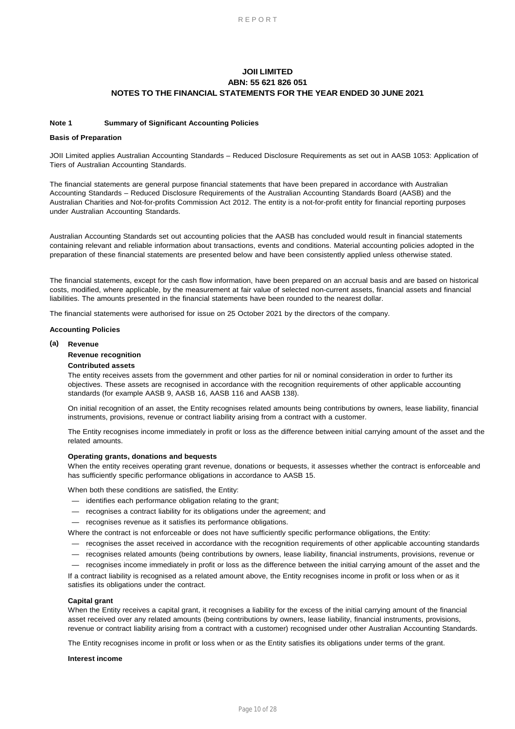### **Note 1 Summary of Significant Accounting Policies**

### **Basis of Preparation**

JOII Limited applies Australian Accounting Standards – Reduced Disclosure Requirements as set out in AASB 1053: Application of Tiers of Australian Accounting Standards.

The financial statements are general purpose financial statements that have been prepared in accordance with Australian Accounting Standards – Reduced Disclosure Requirements of the Australian Accounting Standards Board (AASB) and the Australian Charities and Not-for-profits Commission Act 2012. The entity is a not-for-profit entity for financial reporting purposes under Australian Accounting Standards.

Australian Accounting Standards set out accounting policies that the AASB has concluded would result in financial statements containing relevant and reliable information about transactions, events and conditions. Material accounting policies adopted in the preparation of these financial statements are presented below and have been consistently applied unless otherwise stated.

The financial statements, except for the cash flow information, have been prepared on an accrual basis and are based on historical costs, modified, where applicable, by the measurement at fair value of selected non-current assets, financial assets and financial liabilities. The amounts presented in the financial statements have been rounded to the nearest dollar.

The financial statements were authorised for issue on 25 October 2021 by the directors of the company.

#### **Accounting Policies**

### **(a) Revenue**

#### **Revenue recognition**

#### **Contributed assets**

The entity receives assets from the government and other parties for nil or nominal consideration in order to further its objectives. These assets are recognised in accordance with the recognition requirements of other applicable accounting standards (for example AASB 9, AASB 16, AASB 116 and AASB 138).

On initial recognition of an asset, the Entity recognises related amounts being contributions by owners, lease liability, financial instruments, provisions, revenue or contract liability arising from a contract with a customer.

The Entity recognises income immediately in profit or loss as the difference between initial carrying amount of the asset and the related amounts.

#### **Operating grants, donations and bequests**

When the entity receives operating grant revenue, donations or bequests, it assesses whether the contract is enforceable and has sufficiently specific performance obligations in accordance to AASB 15.

When both these conditions are satisfied, the Entity:

- identifies each performance obligation relating to the grant;
- recognises a contract liability for its obligations under the agreement; and
- recognises revenue as it satisfies its performance obligations.

Where the contract is not enforceable or does not have sufficiently specific performance obligations, the Entity:

- recognises the asset received in accordance with the recognition requirements of other applicable accounting standards
- recognises related amounts (being contributions by owners, lease liability, financial instruments, provisions, revenue or
- recognises income immediately in profit or loss as the difference between the initial carrying amount of the asset and the

If a contract liability is recognised as a related amount above, the Entity recognises income in profit or loss when or as it satisfies its obligations under the contract.

### **Capital grant**

When the Entity receives a capital grant, it recognises a liability for the excess of the initial carrying amount of the financial asset received over any related amounts (being contributions by owners, lease liability, financial instruments, provisions, revenue or contract liability arising from a contract with a customer) recognised under other Australian Accounting Standards.

The Entity recognises income in profit or loss when or as the Entity satisfies its obligations under terms of the grant.

### **Interest income**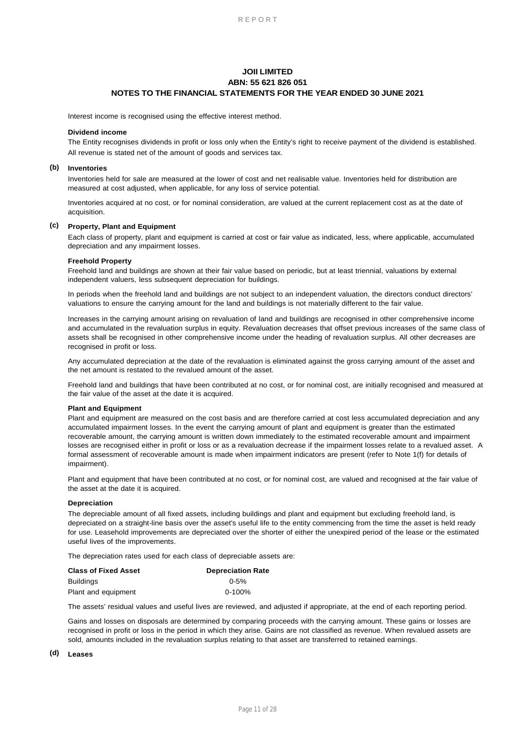Interest income is recognised using the effective interest method.

#### **Dividend income**

The Entity recognises dividends in profit or loss only when the Entity's right to receive payment of the dividend is established. All revenue is stated net of the amount of goods and services tax.

#### **(b) Inventories**

Inventories held for sale are measured at the lower of cost and net realisable value. Inventories held for distribution are measured at cost adjusted, when applicable, for any loss of service potential.

Inventories acquired at no cost, or for nominal consideration, are valued at the current replacement cost as at the date of acquisition.

### **(c) Property, Plant and Equipment**

Each class of property, plant and equipment is carried at cost or fair value as indicated, less, where applicable, accumulated depreciation and any impairment losses.

### **Freehold Property**

Freehold land and buildings are shown at their fair value based on periodic, but at least triennial, valuations by external independent valuers, less subsequent depreciation for buildings.

In periods when the freehold land and buildings are not subject to an independent valuation, the directors conduct directors' valuations to ensure the carrying amount for the land and buildings is not materially different to the fair value.

Increases in the carrying amount arising on revaluation of land and buildings are recognised in other comprehensive income and accumulated in the revaluation surplus in equity. Revaluation decreases that offset previous increases of the same class of assets shall be recognised in other comprehensive income under the heading of revaluation surplus. All other decreases are recognised in profit or loss.

Any accumulated depreciation at the date of the revaluation is eliminated against the gross carrying amount of the asset and the net amount is restated to the revalued amount of the asset.

Freehold land and buildings that have been contributed at no cost, or for nominal cost, are initially recognised and measured at the fair value of the asset at the date it is acquired.

### **Plant and Equipment**

Plant and equipment are measured on the cost basis and are therefore carried at cost less accumulated depreciation and any accumulated impairment losses. In the event the carrying amount of plant and equipment is greater than the estimated recoverable amount, the carrying amount is written down immediately to the estimated recoverable amount and impairment losses are recognised either in profit or loss or as a revaluation decrease if the impairment losses relate to a revalued asset. A formal assessment of recoverable amount is made when impairment indicators are present (refer to Note 1(f) for details of impairment).

Plant and equipment that have been contributed at no cost, or for nominal cost, are valued and recognised at the fair value of the asset at the date it is acquired.

#### **Depreciation**

The depreciable amount of all fixed assets, including buildings and plant and equipment but excluding freehold land, is depreciated on a straight-line basis over the asset's useful life to the entity commencing from the time the asset is held ready for use. Leasehold improvements are depreciated over the shorter of either the unexpired period of the lease or the estimated useful lives of the improvements.

The depreciation rates used for each class of depreciable assets are:

| <b>Class of Fixed Asset</b> | <b>Depreciation Rate</b> |
|-----------------------------|--------------------------|
| <b>Buildings</b>            | $0 - 5%$                 |
| Plant and equipment         | $0 - 100\%$              |

The assets' residual values and useful lives are reviewed, and adjusted if appropriate, at the end of each reporting period.

Gains and losses on disposals are determined by comparing proceeds with the carrying amount. These gains or losses are recognised in profit or loss in the period in which they arise. Gains are not classified as revenue. When revalued assets are sold, amounts included in the revaluation surplus relating to that asset are transferred to retained earnings.

### **(d) Leases**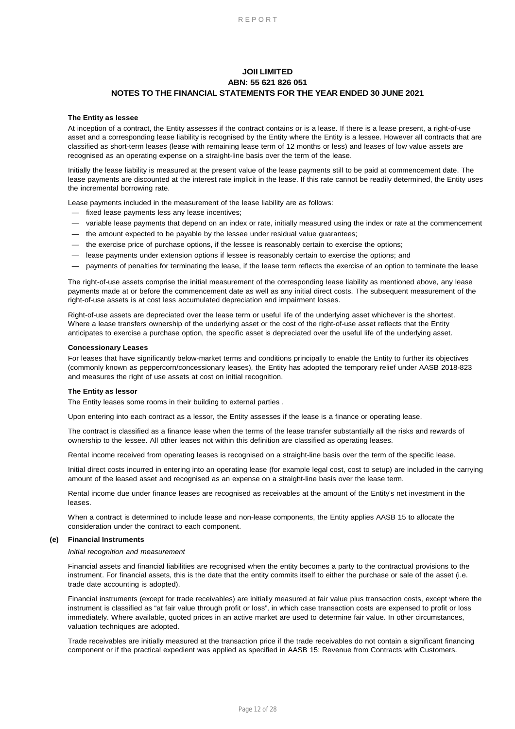### **The Entity as lessee**

At inception of a contract, the Entity assesses if the contract contains or is a lease. If there is a lease present, a right-of-use asset and a corresponding lease liability is recognised by the Entity where the Entity is a lessee. However all contracts that are classified as short-term leases (lease with remaining lease term of 12 months or less) and leases of low value assets are recognised as an operating expense on a straight-line basis over the term of the lease.

Initially the lease liability is measured at the present value of the lease payments still to be paid at commencement date. The lease payments are discounted at the interest rate implicit in the lease. If this rate cannot be readily determined, the Entity uses the incremental borrowing rate.

Lease payments included in the measurement of the lease liability are as follows:

- fixed lease payments less any lease incentives;
- variable lease payments that depend on an index or rate, initially measured using the index or rate at the commencement
- the amount expected to be payable by the lessee under residual value guarantees;
- the exercise price of purchase options, if the lessee is reasonably certain to exercise the options;
- lease payments under extension options if lessee is reasonably certain to exercise the options; and
- payments of penalties for terminating the lease, if the lease term reflects the exercise of an option to terminate the lease

The right-of-use assets comprise the initial measurement of the corresponding lease liability as mentioned above, any lease payments made at or before the commencement date as well as any initial direct costs. The subsequent measurement of the right-of-use assets is at cost less accumulated depreciation and impairment losses.

Right-of-use assets are depreciated over the lease term or useful life of the underlying asset whichever is the shortest. Where a lease transfers ownership of the underlying asset or the cost of the right-of-use asset reflects that the Entity anticipates to exercise a purchase option, the specific asset is depreciated over the useful life of the underlying asset.

#### **Concessionary Leases**

For leases that have significantly below-market terms and conditions principally to enable the Entity to further its objectives (commonly known as peppercorn/concessionary leases), the Entity has adopted the temporary relief under AASB 2018-823 and measures the right of use assets at cost on initial recognition.

### **The Entity as lessor**

The Entity leases some rooms in their building to external parties .

Upon entering into each contract as a lessor, the Entity assesses if the lease is a finance or operating lease.

The contract is classified as a finance lease when the terms of the lease transfer substantially all the risks and rewards of ownership to the lessee. All other leases not within this definition are classified as operating leases.

Rental income received from operating leases is recognised on a straight-line basis over the term of the specific lease.

Initial direct costs incurred in entering into an operating lease (for example legal cost, cost to setup) are included in the carrying amount of the leased asset and recognised as an expense on a straight-line basis over the lease term.

Rental income due under finance leases are recognised as receivables at the amount of the Entity's net investment in the leases.

When a contract is determined to include lease and non-lease components, the Entity applies AASB 15 to allocate the consideration under the contract to each component.

#### **(e) Financial Instruments**

#### *Initial recognition and measurement*

Financial assets and financial liabilities are recognised when the entity becomes a party to the contractual provisions to the instrument. For financial assets, this is the date that the entity commits itself to either the purchase or sale of the asset (i.e. trade date accounting is adopted).

Financial instruments (except for trade receivables) are initially measured at fair value plus transaction costs, except where the instrument is classified as "at fair value through profit or loss", in which case transaction costs are expensed to profit or loss immediately. Where available, quoted prices in an active market are used to determine fair value. In other circumstances, valuation techniques are adopted.

Trade receivables are initially measured at the transaction price if the trade receivables do not contain a significant financing component or if the practical expedient was applied as specified in AASB 15: Revenue from Contracts with Customers.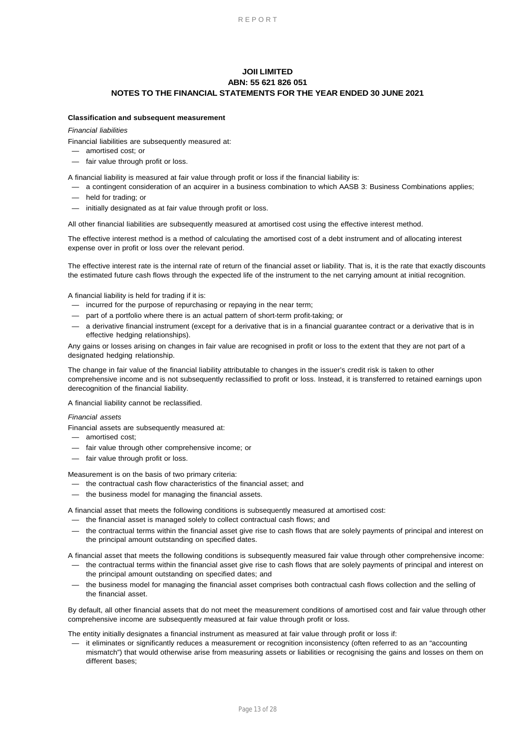### **Classification and subsequent measurement**

### *Financial liabilities*

Financial liabilities are subsequently measured at:

- amortised cost; or
- fair value through profit or loss.

A financial liability is measured at fair value through profit or loss if the financial liability is:

- a contingent consideration of an acquirer in a business combination to which AASB 3: Business Combinations applies;
- held for trading; or
- initially designated as at fair value through profit or loss.

All other financial liabilities are subsequently measured at amortised cost using the effective interest method.

The effective interest method is a method of calculating the amortised cost of a debt instrument and of allocating interest expense over in profit or loss over the relevant period.

The effective interest rate is the internal rate of return of the financial asset or liability. That is, it is the rate that exactly discounts the estimated future cash flows through the expected life of the instrument to the net carrying amount at initial recognition.

A financial liability is held for trading if it is:

- incurred for the purpose of repurchasing or repaying in the near term;
- part of a portfolio where there is an actual pattern of short-term profit-taking; or
- a derivative financial instrument (except for a derivative that is in a financial guarantee contract or a derivative that is in effective hedging relationships).

Any gains or losses arising on changes in fair value are recognised in profit or loss to the extent that they are not part of a designated hedging relationship.

The change in fair value of the financial liability attributable to changes in the issuer's credit risk is taken to other comprehensive income and is not subsequently reclassified to profit or loss. Instead, it is transferred to retained earnings upon derecognition of the financial liability.

A financial liability cannot be reclassified.

### *Financial assets*

Financial assets are subsequently measured at:

- amortised cost;
- fair value through other comprehensive income; or
- fair value through profit or loss.

Measurement is on the basis of two primary criteria:

- the contractual cash flow characteristics of the financial asset; and
- the business model for managing the financial assets.

A financial asset that meets the following conditions is subsequently measured at amortised cost:

- the financial asset is managed solely to collect contractual cash flows; and
- the contractual terms within the financial asset give rise to cash flows that are solely payments of principal and interest on the principal amount outstanding on specified dates.

A financial asset that meets the following conditions is subsequently measured fair value through other comprehensive income:

- the contractual terms within the financial asset give rise to cash flows that are solely payments of principal and interest on the principal amount outstanding on specified dates; and
- the business model for managing the financial asset comprises both contractual cash flows collection and the selling of the financial asset.

By default, all other financial assets that do not meet the measurement conditions of amortised cost and fair value through other comprehensive income are subsequently measured at fair value through profit or loss.

The entity initially designates a financial instrument as measured at fair value through profit or loss if:

— it eliminates or significantly reduces a measurement or recognition inconsistency (often referred to as an "accounting mismatch") that would otherwise arise from measuring assets or liabilities or recognising the gains and losses on them on different bases;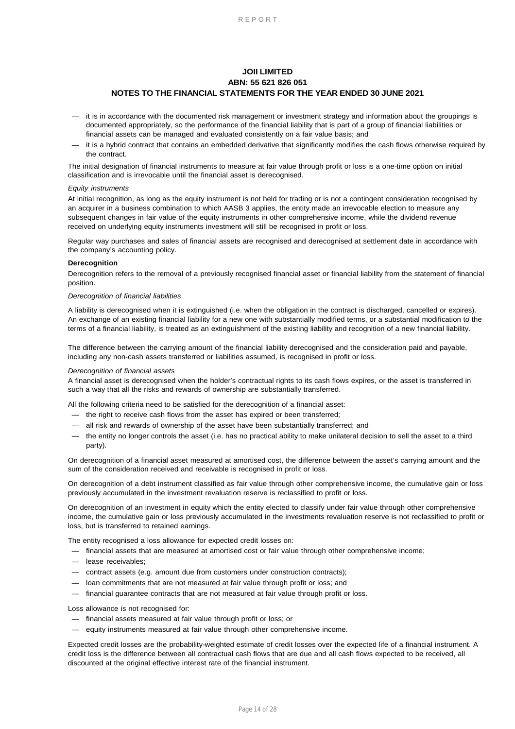- it is in accordance with the documented risk management or investment strategy and information about the groupings is documented appropriately, so the performance of the financial liability that is part of a group of financial liabilities or financial assets can be managed and evaluated consistently on a fair value basis; and
- it is a hybrid contract that contains an embedded derivative that significantly modifies the cash flows otherwise required by the contract.

The initial designation of financial instruments to measure at fair value through profit or loss is a one-time option on initial classification and is irrevocable until the financial asset is derecognised.

#### *Equity instruments*

At initial recognition, as long as the equity instrument is not held for trading or is not a contingent consideration recognised by an acquirer in a business combination to which AASB 3 applies, the entity made an irrevocable election to measure any subsequent changes in fair value of the equity instruments in other comprehensive income, while the dividend revenue received on underlying equity instruments investment will still be recognised in profit or loss.

Regular way purchases and sales of financial assets are recognised and derecognised at settlement date in accordance with the company's accounting policy.

### **Derecognition**

Derecognition refers to the removal of a previously recognised financial asset or financial liability from the statement of financial position.

#### *Derecognition of financial liabilities*

A liability is derecognised when it is extinguished (i.e. when the obligation in the contract is discharged, cancelled or expires). An exchange of an existing financial liability for a new one with substantially modified terms, or a substantial modification to the terms of a financial liability, is treated as an extinguishment of the existing liability and recognition of a new financial liability.

The difference between the carrying amount of the financial liability derecognised and the consideration paid and payable, including any non-cash assets transferred or liabilities assumed, is recognised in profit or loss.

#### *Derecognition of financial assets*

A financial asset is derecognised when the holder's contractual rights to its cash flows expires, or the asset is transferred in such a way that all the risks and rewards of ownership are substantially transferred.

All the following criteria need to be satisfied for the derecognition of a financial asset:

- the right to receive cash flows from the asset has expired or been transferred;
- all risk and rewards of ownership of the asset have been substantially transferred; and
- the entity no longer controls the asset (i.e. has no practical ability to make unilateral decision to sell the asset to a third party).

On derecognition of a financial asset measured at amortised cost, the difference between the asset's carrying amount and the sum of the consideration received and receivable is recognised in profit or loss.

On derecognition of a debt instrument classified as fair value through other comprehensive income, the cumulative gain or loss previously accumulated in the investment revaluation reserve is reclassified to profit or loss.

On derecognition of an investment in equity which the entity elected to classify under fair value through other comprehensive income, the cumulative gain or loss previously accumulated in the investments revaluation reserve is not reclassified to profit or loss, but is transferred to retained earnings.

The entity recognised a loss allowance for expected credit losses on:

- financial assets that are measured at amortised cost or fair value through other comprehensive income;
- lease receivables;
- contract assets (e.g. amount due from customers under construction contracts);
- loan commitments that are not measured at fair value through profit or loss; and
- financial guarantee contracts that are not measured at fair value through profit or loss.

Loss allowance is not recognised for:

- financial assets measured at fair value through profit or loss; or
- equity instruments measured at fair value through other comprehensive income.

Expected credit losses are the probability-weighted estimate of credit losses over the expected life of a financial instrument. A credit loss is the difference between all contractual cash flows that are due and all cash flows expected to be received, all discounted at the original effective interest rate of the financial instrument.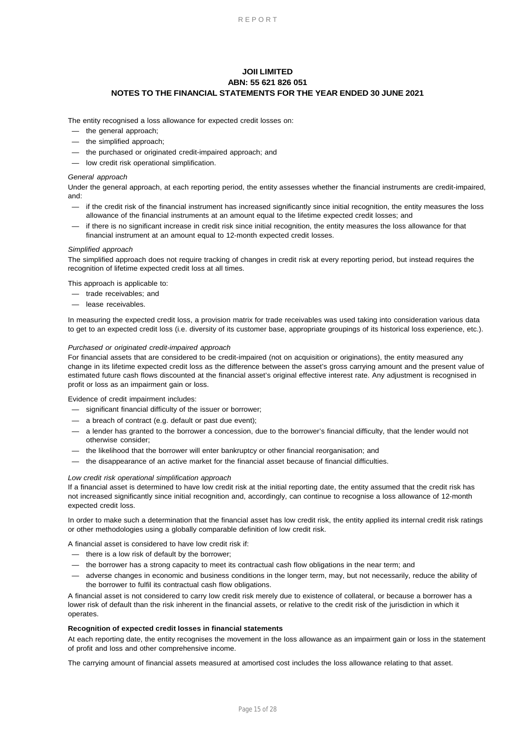The entity recognised a loss allowance for expected credit losses on:

- the general approach;
- the simplified approach;
- the purchased or originated credit-impaired approach; and
- low credit risk operational simplification.

### *General approach*

Under the general approach, at each reporting period, the entity assesses whether the financial instruments are credit-impaired, and:

- if the credit risk of the financial instrument has increased significantly since initial recognition, the entity measures the loss allowance of the financial instruments at an amount equal to the lifetime expected credit losses; and
- if there is no significant increase in credit risk since initial recognition, the entity measures the loss allowance for that financial instrument at an amount equal to 12-month expected credit losses.

### *Simplified approach*

The simplified approach does not require tracking of changes in credit risk at every reporting period, but instead requires the recognition of lifetime expected credit loss at all times.

This approach is applicable to:

- trade receivables; and
- lease receivables.

In measuring the expected credit loss, a provision matrix for trade receivables was used taking into consideration various data to get to an expected credit loss (i.e. diversity of its customer base, appropriate groupings of its historical loss experience, etc.).

### *Purchased or originated credit-impaired approach*

For financial assets that are considered to be credit-impaired (not on acquisition or originations), the entity measured any change in its lifetime expected credit loss as the difference between the asset's gross carrying amount and the present value of estimated future cash flows discounted at the financial asset's original effective interest rate. Any adjustment is recognised in profit or loss as an impairment gain or loss.

Evidence of credit impairment includes:

- significant financial difficulty of the issuer or borrower;
- a breach of contract (e.g. default or past due event);
- a lender has granted to the borrower a concession, due to the borrower's financial difficulty, that the lender would not otherwise consider;
- the likelihood that the borrower will enter bankruptcy or other financial reorganisation; and
- the disappearance of an active market for the financial asset because of financial difficulties.

### *Low credit risk operational simplification approach*

If a financial asset is determined to have low credit risk at the initial reporting date, the entity assumed that the credit risk has not increased significantly since initial recognition and, accordingly, can continue to recognise a loss allowance of 12-month expected credit loss.

In order to make such a determination that the financial asset has low credit risk, the entity applied its internal credit risk ratings or other methodologies using a globally comparable definition of low credit risk.

A financial asset is considered to have low credit risk if:

- there is a low risk of default by the borrower;
- the borrower has a strong capacity to meet its contractual cash flow obligations in the near term; and
- adverse changes in economic and business conditions in the longer term, may, but not necessarily, reduce the ability of the borrower to fulfil its contractual cash flow obligations.

A financial asset is not considered to carry low credit risk merely due to existence of collateral, or because a borrower has a lower risk of default than the risk inherent in the financial assets, or relative to the credit risk of the jurisdiction in which it operates.

### **Recognition of expected credit losses in financial statements**

At each reporting date, the entity recognises the movement in the loss allowance as an impairment gain or loss in the statement of profit and loss and other comprehensive income.

The carrying amount of financial assets measured at amortised cost includes the loss allowance relating to that asset.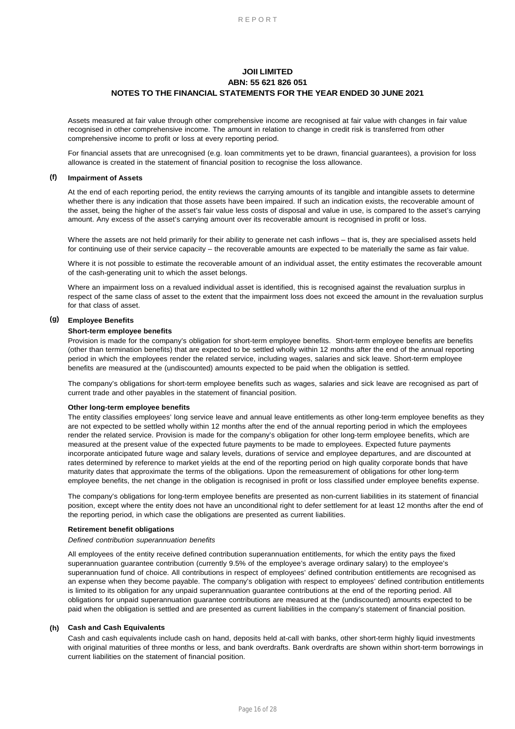Assets measured at fair value through other comprehensive income are recognised at fair value with changes in fair value recognised in other comprehensive income. The amount in relation to change in credit risk is transferred from other comprehensive income to profit or loss at every reporting period.

For financial assets that are unrecognised (e.g. loan commitments yet to be drawn, financial guarantees), a provision for loss allowance is created in the statement of financial position to recognise the loss allowance.

#### **(f) Impairment of Assets**

At the end of each reporting period, the entity reviews the carrying amounts of its tangible and intangible assets to determine whether there is any indication that those assets have been impaired. If such an indication exists, the recoverable amount of the asset, being the higher of the asset's fair value less costs of disposal and value in use, is compared to the asset's carrying amount. Any excess of the asset's carrying amount over its recoverable amount is recognised in profit or loss.

Where the assets are not held primarily for their ability to generate net cash inflows – that is, they are specialised assets held for continuing use of their service capacity – the recoverable amounts are expected to be materially the same as fair value.

Where it is not possible to estimate the recoverable amount of an individual asset, the entity estimates the recoverable amount of the cash-generating unit to which the asset belongs.

Where an impairment loss on a revalued individual asset is identified, this is recognised against the revaluation surplus in respect of the same class of asset to the extent that the impairment loss does not exceed the amount in the revaluation surplus for that class of asset.

### **(g) Employee Benefits**

#### **Short-term employee benefits**

Provision is made for the company's obligation for short-term employee benefits. Short-term employee benefits are benefits (other than termination benefits) that are expected to be settled wholly within 12 months after the end of the annual reporting period in which the employees render the related service, including wages, salaries and sick leave. Short-term employee benefits are measured at the (undiscounted) amounts expected to be paid when the obligation is settled.

The company's obligations for short-term employee benefits such as wages, salaries and sick leave are recognised as part of current trade and other payables in the statement of financial position.

#### **Other long-term employee benefits**

The entity classifies employees' long service leave and annual leave entitlements as other long-term employee benefits as they are not expected to be settled wholly within 12 months after the end of the annual reporting period in which the employees render the related service. Provision is made for the company's obligation for other long-term employee benefits, which are measured at the present value of the expected future payments to be made to employees. Expected future payments incorporate anticipated future wage and salary levels, durations of service and employee departures, and are discounted at rates determined by reference to market yields at the end of the reporting period on high quality corporate bonds that have maturity dates that approximate the terms of the obligations. Upon the remeasurement of obligations for other long-term employee benefits, the net change in the obligation is recognised in profit or loss classified under employee benefits expense.

The company's obligations for long-term employee benefits are presented as non-current liabilities in its statement of financial position, except where the entity does not have an unconditional right to defer settlement for at least 12 months after the end of the reporting period, in which case the obligations are presented as current liabilities.

#### **Retirement benefit obligations**

### *Defined contribution superannuation benefits*

All employees of the entity receive defined contribution superannuation entitlements, for which the entity pays the fixed superannuation guarantee contribution (currently 9.5% of the employee's average ordinary salary) to the employee's superannuation fund of choice. All contributions in respect of employees' defined contribution entitlements are recognised as an expense when they become payable. The company's obligation with respect to employees' defined contribution entitlements is limited to its obligation for any unpaid superannuation guarantee contributions at the end of the reporting period. All obligations for unpaid superannuation guarantee contributions are measured at the (undiscounted) amounts expected to be paid when the obligation is settled and are presented as current liabilities in the company's statement of financial position.

### **(h) Cash and Cash Equivalents**

Cash and cash equivalents include cash on hand, deposits held at-call with banks, other short-term highly liquid investments with original maturities of three months or less, and bank overdrafts. Bank overdrafts are shown within short-term borrowings in current liabilities on the statement of financial position.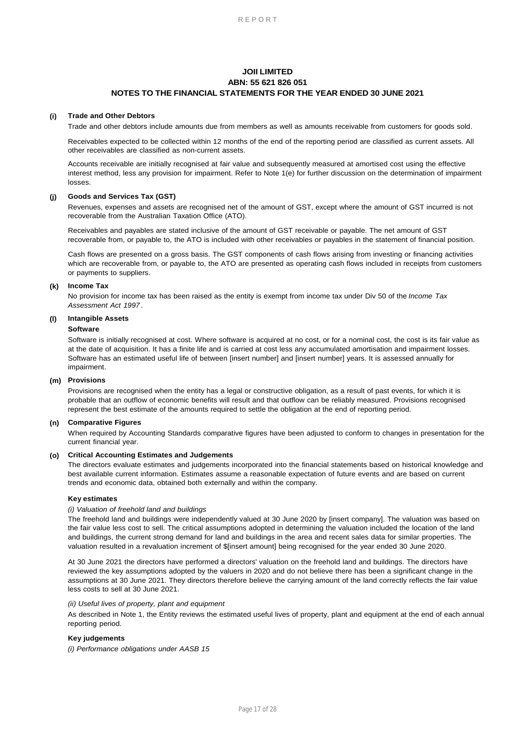#### **(i) Trade and Other Debtors**

Trade and other debtors include amounts due from members as well as amounts receivable from customers for goods sold.

Receivables expected to be collected within 12 months of the end of the reporting period are classified as current assets. All other receivables are classified as non-current assets.

Accounts receivable are initially recognised at fair value and subsequently measured at amortised cost using the effective interest method, less any provision for impairment. Refer to Note 1(e) for further discussion on the determination of impairment losses.

#### **(j) Goods and Services Tax (GST)**

Revenues, expenses and assets are recognised net of the amount of GST, except where the amount of GST incurred is not recoverable from the Australian Taxation Office (ATO).

Receivables and payables are stated inclusive of the amount of GST receivable or payable. The net amount of GST recoverable from, or payable to, the ATO is included with other receivables or payables in the statement of financial position.

Cash flows are presented on a gross basis. The GST components of cash flows arising from investing or financing activities which are recoverable from, or payable to, the ATO are presented as operating cash flows included in receipts from customers or payments to suppliers.

#### **(k) Income Tax**

No provision for income tax has been raised as the entity is exempt from income tax under Div 50 of the *Income Tax Assessment Act 1997* .

### **(l) Intangible Assets**

### **Software**

Software is initially recognised at cost. Where software is acquired at no cost, or for a nominal cost, the cost is its fair value as at the date of acquisition. It has a finite life and is carried at cost less any accumulated amortisation and impairment losses. Software has an estimated useful life of between [insert number] and [insert number] years. It is assessed annually for impairment.

#### **(m) Provisions**

Provisions are recognised when the entity has a legal or constructive obligation, as a result of past events, for which it is probable that an outflow of economic benefits will result and that outflow can be reliably measured. Provisions recognised represent the best estimate of the amounts required to settle the obligation at the end of reporting period.

### **(n) Comparative Figures**

When required by Accounting Standards comparative figures have been adjusted to conform to changes in presentation for the current financial year.

### **(o) Critical Accounting Estimates and Judgements**

The directors evaluate estimates and judgements incorporated into the financial statements based on historical knowledge and best available current information. Estimates assume a reasonable expectation of future events and are based on current trends and economic data, obtained both externally and within the company.

### **Key estimates**

#### *(i) Valuation of freehold land and buildings*

The freehold land and buildings were independently valued at 30 June 2020 by [insert company]. The valuation was based on the fair value less cost to sell. The critical assumptions adopted in determining the valuation included the location of the land and buildings, the current strong demand for land and buildings in the area and recent sales data for similar properties. The valuation resulted in a revaluation increment of \$[insert amount] being recognised for the year ended 30 June 2020.

At 30 June 2021 the directors have performed a directors' valuation on the freehold land and buildings. The directors have reviewed the key assumptions adopted by the valuers in 2020 and do not believe there has been a significant change in the assumptions at 30 June 2021. They directors therefore believe the carrying amount of the land correctly reflects the fair value less costs to sell at 30 June 2021.

#### *(ii) Useful lives of property, plant and equipment*

As described in Note 1, the Entity reviews the estimated useful lives of property, plant and equipment at the end of each annual reporting period.

### **Key judgements**

*(i) Performance obligations under AASB 15*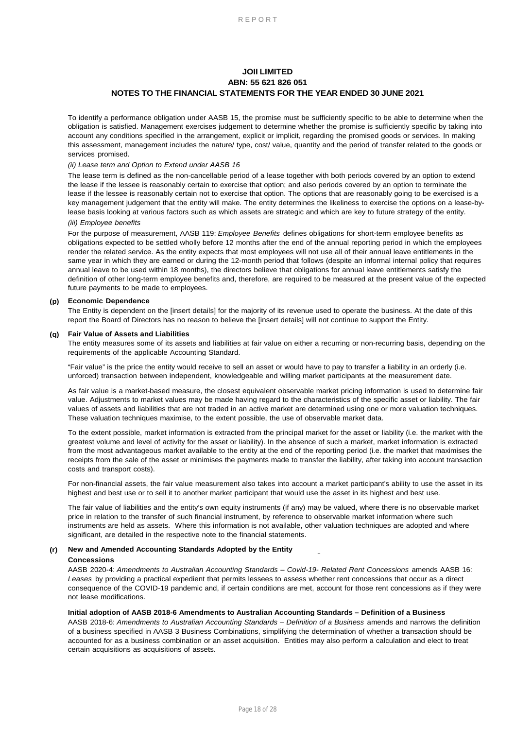To identify a performance obligation under AASB 15, the promise must be sufficiently specific to be able to determine when the obligation is satisfied. Management exercises judgement to determine whether the promise is sufficiently specific by taking into account any conditions specified in the arrangement, explicit or implicit, regarding the promised goods or services. In making this assessment, management includes the nature/ type, cost/ value, quantity and the period of transfer related to the goods or services promised.

### *(ii) Lease term and Option to Extend under AASB 16*

The lease term is defined as the non-cancellable period of a lease together with both periods covered by an option to extend the lease if the lessee is reasonably certain to exercise that option; and also periods covered by an option to terminate the lease if the lessee is reasonably certain not to exercise that option. The options that are reasonably going to be exercised is a key management judgement that the entity will make. The entity determines the likeliness to exercise the options on a lease-bylease basis looking at various factors such as which assets are strategic and which are key to future strategy of the entity.

### *(iii) Employee benefits*

For the purpose of measurement, AASB 119: *Employee Benefits* defines obligations for short-term employee benefits as obligations expected to be settled wholly before 12 months after the end of the annual reporting period in which the employees render the related service. As the entity expects that most employees will not use all of their annual leave entitlements in the same year in which they are earned or during the 12-month period that follows (despite an informal internal policy that requires annual leave to be used within 18 months), the directors believe that obligations for annual leave entitlements satisfy the definition of other long-term employee benefits and, therefore, are required to be measured at the present value of the expected future payments to be made to employees.

### **(p) Economic Dependence**

The Entity is dependent on the [insert details] for the majority of its revenue used to operate the business. At the date of this report the Board of Directors has no reason to believe the [insert details] will not continue to support the Entity.

### **(q) Fair Value of Assets and Liabilities**

The entity measures some of its assets and liabilities at fair value on either a recurring or non-recurring basis, depending on the requirements of the applicable Accounting Standard.

"Fair value" is the price the entity would receive to sell an asset or would have to pay to transfer a liability in an orderly (i.e. unforced) transaction between independent, knowledgeable and willing market participants at the measurement date.

As fair value is a market-based measure, the closest equivalent observable market pricing information is used to determine fair value. Adjustments to market values may be made having regard to the characteristics of the specific asset or liability. The fair values of assets and liabilities that are not traded in an active market are determined using one or more valuation techniques. These valuation techniques maximise, to the extent possible, the use of observable market data.

To the extent possible, market information is extracted from the principal market for the asset or liability (i.e. the market with the greatest volume and level of activity for the asset or liability). In the absence of such a market, market information is extracted from the most advantageous market available to the entity at the end of the reporting period (i.e. the market that maximises the receipts from the sale of the asset or minimises the payments made to transfer the liability, after taking into account transaction costs and transport costs).

For non-financial assets, the fair value measurement also takes into account a market participant's ability to use the asset in its highest and best use or to sell it to another market participant that would use the asset in its highest and best use.

The fair value of liabilities and the entity's own equity instruments (if any) may be valued, where there is no observable market price in relation to the transfer of such financial instrument, by reference to observable market information where such instruments are held as assets. Where this information is not available, other valuation techniques are adopted and where significant, are detailed in the respective note to the financial statements.

### (r) New and Amended Accounting Standards Adopted by the Entity  $\qquad \qquad \_$

#### **Concessions**

AASB 2020-4: *Amendments to Australian Accounting Standards – Covid-19- Related Rent Concessions* amends AASB 16: *Leases* by providing a practical expedient that permits lessees to assess whether rent concessions that occur as a direct consequence of the COVID-19 pandemic and, if certain conditions are met, account for those rent concessions as if they were not lease modifications.

### **Initial adoption of AASB 2018-6 Amendments to Australian Accounting Standards – Definition of a Business**

AASB 2018-6: *Amendments to Australian Accounting Standards – Definition of a Business* amends and narrows the definition of a business specified in AASB 3 Business Combinations, simplifying the determination of whether a transaction should be accounted for as a business combination or an asset acquisition. Entities may also perform a calculation and elect to treat certain acquisitions as acquisitions of assets.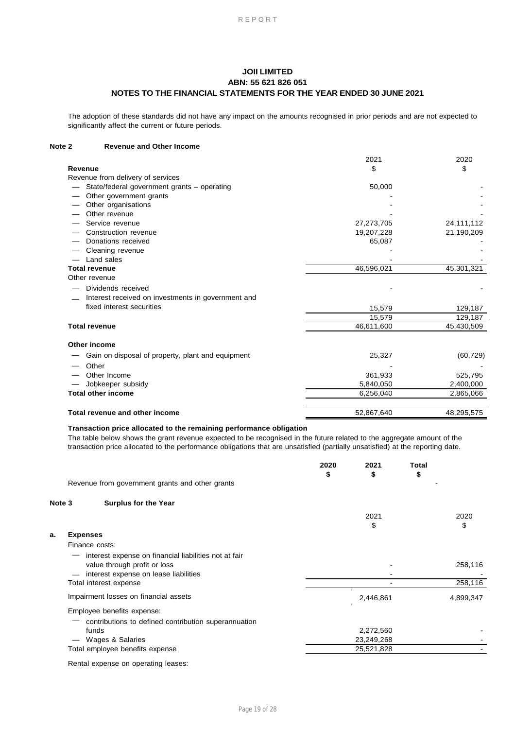The adoption of these standards did not have any impact on the amounts recognised in prior periods and are not expected to significantly affect the current or future periods.

#### **Revenue and Other Income Note 2**

|                                                    | 2021       | 2020         |
|----------------------------------------------------|------------|--------------|
| Revenue                                            | \$         | \$           |
| Revenue from delivery of services                  |            |              |
| State/federal government grants - operating        | 50,000     |              |
| Other government grants                            |            |              |
| Other organisations                                |            |              |
| Other revenue                                      |            |              |
| Service revenue                                    | 27,273,705 | 24, 111, 112 |
| Construction revenue                               | 19,207,228 | 21,190,209   |
| Donations received                                 | 65,087     |              |
| Cleaning revenue                                   |            |              |
| Land sales                                         |            |              |
| <b>Total revenue</b>                               | 46,596,021 | 45,301,321   |
| Other revenue                                      |            |              |
| Dividends received                                 |            |              |
| Interest received on investments in government and |            |              |
| fixed interest securities                          | 15,579     | 129,187      |
|                                                    | 15,579     | 129,187      |
| <b>Total revenue</b>                               | 46,611,600 | 45,430,509   |
| Other income                                       |            |              |
| Gain on disposal of property, plant and equipment  | 25,327     | (60, 729)    |
| Other                                              |            |              |
| Other Income                                       | 361,933    | 525,795      |
| Jobkeeper subsidy                                  | 5,840,050  | 2,400,000    |
| <b>Total other income</b>                          | 6,256,040  | 2,865,066    |
|                                                    |            |              |
| Total revenue and other income                     | 52,867,640 | 48,295,575   |

### **Transaction price allocated to the remaining performance obligation**

The table below shows the grant revenue expected to be recognised in the future related to the aggregate amount of the transaction price allocated to the performance obligations that are unsatisfied (partially unsatisfied) at the reporting date.

|        |                                                                                                                                | 2020<br>\$ | 2021<br>\$ | Total<br>\$ |            |
|--------|--------------------------------------------------------------------------------------------------------------------------------|------------|------------|-------------|------------|
|        | Revenue from government grants and other grants                                                                                |            |            |             |            |
| Note 3 | <b>Surplus for the Year</b>                                                                                                    |            |            |             |            |
|        |                                                                                                                                |            | 2021<br>\$ |             | 2020<br>\$ |
| a.     | <b>Expenses</b>                                                                                                                |            |            |             |            |
|        | Finance costs:                                                                                                                 |            |            |             |            |
|        | interest expense on financial liabilities not at fair<br>value through profit or loss<br>interest expense on lease liabilities |            |            |             | 258,116    |
|        | Total interest expense                                                                                                         |            |            |             | 258,116    |
|        | Impairment losses on financial assets                                                                                          |            | 2,446,861  |             | 4,899,347  |
|        | Employee benefits expense:                                                                                                     |            |            |             |            |
|        | contributions to defined contribution superannuation<br>funds                                                                  |            | 2,272,560  |             |            |
|        | Wages & Salaries                                                                                                               |            | 23,249,268 |             |            |
|        | Total employee benefits expense                                                                                                |            | 25,521,828 |             |            |
|        | Dental avwences an encuative leases                                                                                            |            |            |             |            |

Rental expense on operating leases: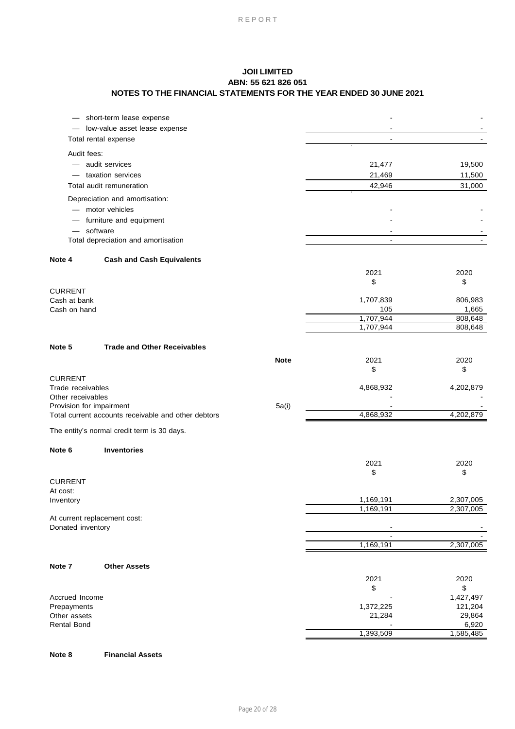|                                     | short-term lease expense                            |             |                  |                    |
|-------------------------------------|-----------------------------------------------------|-------------|------------------|--------------------|
|                                     | low-value asset lease expense                       |             |                  |                    |
|                                     | Total rental expense                                |             |                  |                    |
| Audit fees:                         |                                                     |             |                  |                    |
|                                     | audit services                                      |             | 21,477           | 19,500             |
|                                     | taxation services                                   |             | 21,469           | 11,500             |
|                                     | Total audit remuneration                            |             | 42,946           | 31,000             |
|                                     | Depreciation and amortisation:                      |             |                  |                    |
|                                     | - motor vehicles                                    |             |                  |                    |
|                                     | furniture and equipment                             |             |                  |                    |
|                                     | software                                            |             |                  |                    |
|                                     | Total depreciation and amortisation                 |             | $\overline{a}$   |                    |
| Note 4                              | <b>Cash and Cash Equivalents</b>                    |             |                  |                    |
|                                     |                                                     |             | 2021             | 2020               |
|                                     |                                                     |             | \$               | \$                 |
| <b>CURRENT</b>                      |                                                     |             |                  |                    |
| Cash at bank                        |                                                     |             | 1,707,839        | 806,983            |
| Cash on hand                        |                                                     |             | 105<br>1,707,944 | 1,665<br>808,648   |
|                                     |                                                     |             | 1,707,944        | 808,648            |
|                                     |                                                     |             |                  |                    |
| Note 5                              | <b>Trade and Other Receivables</b>                  |             |                  |                    |
|                                     |                                                     | <b>Note</b> | 2021             | 2020               |
|                                     |                                                     |             | \$               | \$                 |
| <b>CURRENT</b><br>Trade receivables |                                                     |             | 4,868,932        | 4,202,879          |
| Other receivables                   |                                                     |             |                  |                    |
| Provision for impairment            |                                                     | 5a(i)       |                  |                    |
|                                     | Total current accounts receivable and other debtors |             | 4,868,932        | 4,202,879          |
|                                     | The entity's normal credit term is 30 days.         |             |                  |                    |
| Note 6                              | <b>Inventories</b>                                  |             |                  |                    |
|                                     |                                                     |             | 2021             | 2020               |
|                                     |                                                     |             | \$               | \$                 |
| <b>CURRENT</b>                      |                                                     |             |                  |                    |
| At cost:                            |                                                     |             |                  |                    |
| Inventory                           |                                                     |             | 1,169,191        | 2,307,005          |
| At current replacement cost:        |                                                     |             | 1,169,191        | 2,307,005          |
| Donated inventory                   |                                                     |             |                  |                    |
|                                     |                                                     |             |                  |                    |
|                                     |                                                     |             | 1,169,191        | 2,307,005          |
| Note 7                              | <b>Other Assets</b>                                 |             |                  |                    |
|                                     |                                                     |             | 2021             | 2020               |
|                                     |                                                     |             | \$               | \$                 |
| Accrued Income                      |                                                     |             |                  | 1,427,497          |
| Prepayments                         |                                                     |             | 1,372,225        | 121,204            |
| Other assets                        |                                                     |             | 21,284           | 29,864             |
| <b>Rental Bond</b>                  |                                                     |             | 1,393,509        | 6,920<br>1,585,485 |
|                                     |                                                     |             |                  |                    |

#### **Financial Assets Note 8**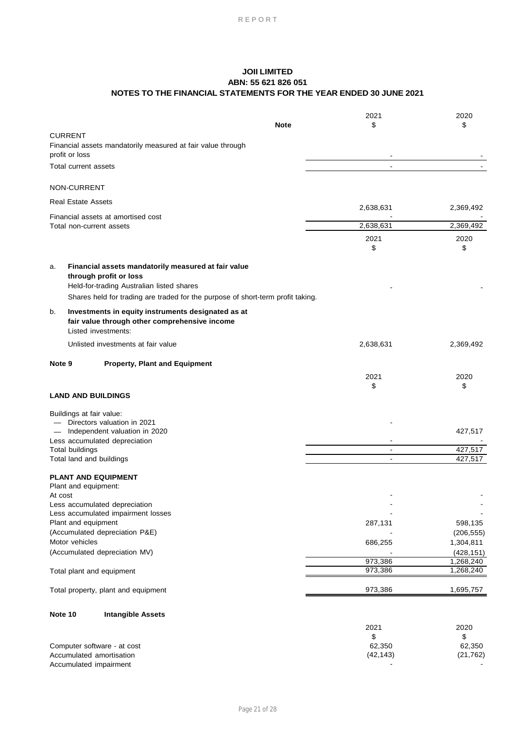|         |                                                                |                                                                                 | 2021               | 2020                   |
|---------|----------------------------------------------------------------|---------------------------------------------------------------------------------|--------------------|------------------------|
|         |                                                                | <b>Note</b>                                                                     | \$                 | \$                     |
|         | <b>CURRENT</b>                                                 | Financial assets mandatorily measured at fair value through                     |                    |                        |
|         | profit or loss                                                 |                                                                                 |                    |                        |
|         | Total current assets                                           |                                                                                 | $\blacksquare$     |                        |
|         | NON-CURRENT                                                    |                                                                                 |                    |                        |
|         |                                                                |                                                                                 |                    |                        |
|         | <b>Real Estate Assets</b>                                      |                                                                                 | 2,638,631          | 2,369,492              |
|         | Financial assets at amortised cost<br>Total non-current assets |                                                                                 | 2,638,631          | 2,369,492              |
|         |                                                                |                                                                                 | 2021               | 2020                   |
|         |                                                                |                                                                                 | \$                 | \$                     |
| a.      |                                                                | Financial assets mandatorily measured at fair value                             |                    |                        |
|         | through profit or loss                                         |                                                                                 |                    |                        |
|         |                                                                | Held-for-trading Australian listed shares                                       |                    |                        |
|         |                                                                | Shares held for trading are traded for the purpose of short-term profit taking. |                    |                        |
| b.      |                                                                | Investments in equity instruments designated as at                              |                    |                        |
|         |                                                                | fair value through other comprehensive income                                   |                    |                        |
|         | Listed investments:                                            |                                                                                 |                    |                        |
|         |                                                                | Unlisted investments at fair value                                              | 2,638,631          | 2,369,492              |
| Note 9  |                                                                | <b>Property, Plant and Equipment</b>                                            |                    |                        |
|         |                                                                |                                                                                 | 2021               | 2020                   |
|         |                                                                |                                                                                 | \$                 | \$                     |
|         | <b>LAND AND BUILDINGS</b>                                      |                                                                                 |                    |                        |
|         | Buildings at fair value:                                       |                                                                                 |                    |                        |
|         | - Directors valuation in 2021                                  |                                                                                 |                    |                        |
|         |                                                                | - Independent valuation in 2020                                                 |                    | 427,517                |
|         | Less accumulated depreciation                                  |                                                                                 | $\blacksquare$     | 427,517                |
|         | <b>Total buildings</b><br>Total land and buildings             |                                                                                 | $\overline{a}$     | 427,517                |
|         |                                                                |                                                                                 |                    |                        |
|         | <b>PLANT AND EQUIPMENT</b>                                     |                                                                                 |                    |                        |
|         | Plant and equipment:                                           |                                                                                 |                    |                        |
| At cost | Less accumulated depreciation                                  |                                                                                 |                    |                        |
|         |                                                                | Less accumulated impairment losses                                              |                    |                        |
|         | Plant and equipment                                            |                                                                                 | 287,131            | 598,135                |
|         | (Accumulated depreciation P&E)                                 |                                                                                 |                    | (206, 555)             |
|         | Motor vehicles                                                 |                                                                                 | 686,255            | 1,304,811              |
|         | (Accumulated depreciation MV)                                  |                                                                                 |                    | (428, 151)             |
|         | Total plant and equipment                                      |                                                                                 | 973,386<br>973,386 | 1,268,240<br>1,268,240 |
|         |                                                                |                                                                                 |                    |                        |
|         |                                                                | Total property, plant and equipment                                             | 973,386            | 1,695,757              |
| Note 10 |                                                                | <b>Intangible Assets</b>                                                        |                    |                        |
|         |                                                                |                                                                                 | 2021               | 2020                   |
|         |                                                                |                                                                                 | \$                 | \$                     |
|         | Computer software - at cost                                    |                                                                                 | 62,350             | 62,350                 |
|         | Accumulated amortisation                                       |                                                                                 | (42, 143)          | (21, 762)              |
|         | Accumulated impairment                                         |                                                                                 |                    |                        |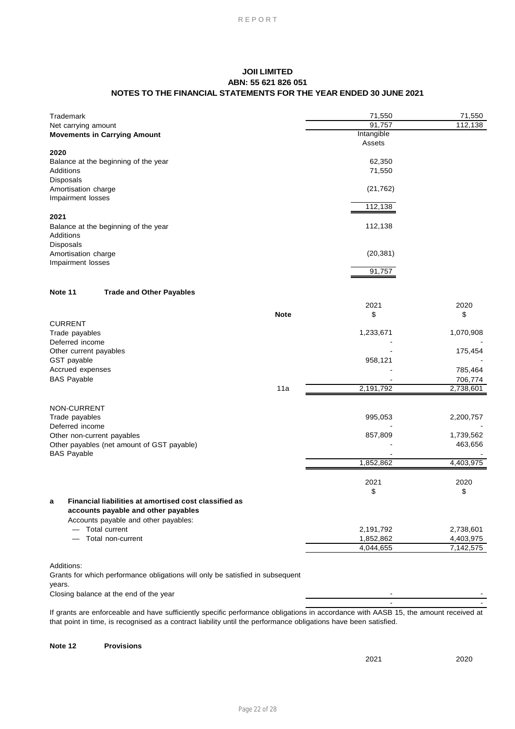| Trademark                                                                     | 71,550     | 71,550     |
|-------------------------------------------------------------------------------|------------|------------|
| Net carrying amount                                                           | 91,757     | 112,138    |
| <b>Movements in Carrying Amount</b>                                           | Intangible |            |
|                                                                               | Assets     |            |
| 2020                                                                          | 62,350     |            |
| Balance at the beginning of the year<br>Additions                             | 71,550     |            |
| Disposals                                                                     |            |            |
| Amortisation charge                                                           | (21, 762)  |            |
| Impairment losses                                                             |            |            |
|                                                                               | 112,138    |            |
| 2021                                                                          |            |            |
| Balance at the beginning of the year                                          | 112,138    |            |
| Additions                                                                     |            |            |
| Disposals                                                                     |            |            |
| Amortisation charge                                                           | (20, 381)  |            |
| Impairment losses                                                             |            |            |
|                                                                               | 91,757     |            |
|                                                                               |            |            |
| Note 11<br><b>Trade and Other Payables</b>                                    |            |            |
|                                                                               | 2021       | 2020       |
| <b>Note</b>                                                                   | \$         | \$         |
| <b>CURRENT</b>                                                                |            |            |
| Trade payables                                                                | 1,233,671  | 1,070,908  |
| Deferred income                                                               |            |            |
| Other current payables<br>GST payable                                         | 958,121    | 175,454    |
| Accrued expenses                                                              |            | 785,464    |
| <b>BAS Payable</b>                                                            |            | 706,774    |
| 11a                                                                           | 2,191,792  | 2,738,601  |
|                                                                               |            |            |
| NON-CURRENT                                                                   |            |            |
| Trade payables                                                                | 995,053    | 2,200,757  |
| Deferred income                                                               |            |            |
| Other non-current payables                                                    | 857,809    | 1,739,562  |
| Other payables (net amount of GST payable)                                    |            | 463,656    |
| <b>BAS Payable</b>                                                            |            |            |
|                                                                               | 1,852,862  | 4,403,975  |
|                                                                               |            |            |
|                                                                               | 2021<br>\$ | 2020<br>\$ |
| Financial liabilities at amortised cost classified as                         |            |            |
| a<br>accounts payable and other payables                                      |            |            |
| Accounts payable and other payables:                                          |            |            |
| - Total current                                                               | 2,191,792  | 2,738,601  |
| Total non-current                                                             | 1,852,862  | 4,403,975  |
|                                                                               | 4,044,655  | 7,142,575  |
|                                                                               |            |            |
| Additions:                                                                    |            |            |
| Grants for which performance obligations will only be satisfied in subsequent |            |            |
| years.                                                                        |            |            |
| Closing balance at the end of the year                                        |            |            |
|                                                                               |            |            |

If grants are enforceable and have sufficiently specific performance obligations in accordance with AASB 15, the amount received at that point in time, is recognised as a contract liability until the performance obligations have been satisfied.

#### **Provisions Note 12**

2021 2020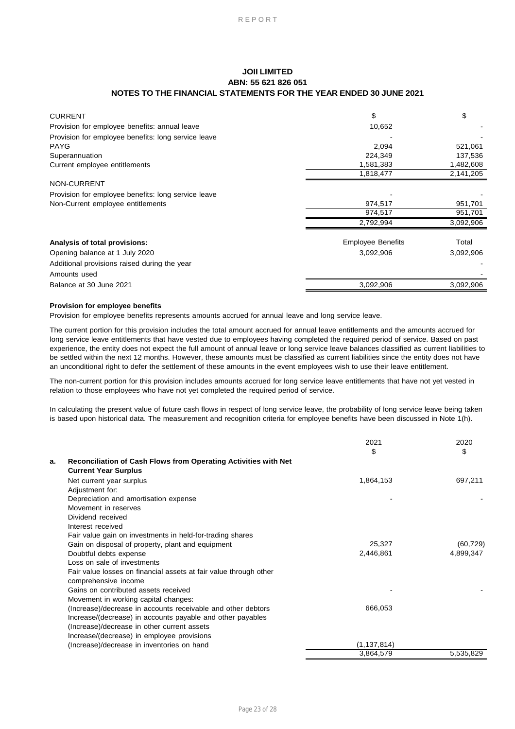| <b>CURRENT</b>                                      | \$                       | \$        |
|-----------------------------------------------------|--------------------------|-----------|
| Provision for employee benefits: annual leave       | 10,652                   |           |
| Provision for employee benefits: long service leave |                          |           |
| <b>PAYG</b>                                         | 2,094                    | 521,061   |
| Superannuation                                      | 224,349                  | 137,536   |
| Current employee entitlements                       | 1,581,383                | 1,482,608 |
|                                                     | 1,818,477                | 2,141,205 |
| <b>NON-CURRENT</b>                                  |                          |           |
| Provision for employee benefits: long service leave |                          |           |
| Non-Current employee entitlements                   | 974,517                  | 951,701   |
|                                                     | 974,517                  | 951,701   |
|                                                     | 2,792,994                | 3,092,906 |
| Analysis of total provisions:                       | <b>Employee Benefits</b> | Total     |
| Opening balance at 1 July 2020                      | 3,092,906                | 3,092,906 |
| Additional provisions raised during the year        |                          |           |
| Amounts used                                        |                          |           |
| Balance at 30 June 2021                             | 3,092,906                | 3,092,906 |

### **Provision for employee benefits**

Provision for employee benefits represents amounts accrued for annual leave and long service leave.

The current portion for this provision includes the total amount accrued for annual leave entitlements and the amounts accrued for long service leave entitlements that have vested due to employees having completed the required period of service. Based on past experience, the entity does not expect the full amount of annual leave or long service leave balances classified as current liabilities to be settled within the next 12 months. However, these amounts must be classified as current liabilities since the entity does not have an unconditional right to defer the settlement of these amounts in the event employees wish to use their leave entitlement.

The non-current portion for this provision includes amounts accrued for long service leave entitlements that have not yet vested in relation to those employees who have not yet completed the required period of service.

In calculating the present value of future cash flows in respect of long service leave, the probability of long service leave being taken is based upon historical data. The measurement and recognition criteria for employee benefits have been discussed in Note 1(h).

|    |                                                                   | 2021          | 2020      |
|----|-------------------------------------------------------------------|---------------|-----------|
| a. | Reconciliation of Cash Flows from Operating Activities with Net   | \$            | \$        |
|    |                                                                   |               |           |
|    | <b>Current Year Surplus</b>                                       |               |           |
|    | Net current year surplus                                          | 1,864,153     | 697,211   |
|    | Adjustment for:                                                   |               |           |
|    | Depreciation and amortisation expense                             |               |           |
|    | Movement in reserves                                              |               |           |
|    | Dividend received                                                 |               |           |
|    | Interest received                                                 |               |           |
|    | Fair value gain on investments in held-for-trading shares         |               |           |
|    | Gain on disposal of property, plant and equipment                 | 25,327        | (60, 729) |
|    | Doubtful debts expense                                            | 2,446,861     | 4,899,347 |
|    | Loss on sale of investments                                       |               |           |
|    | Fair value losses on financial assets at fair value through other |               |           |
|    | comprehensive income                                              |               |           |
|    | Gains on contributed assets received                              |               |           |
|    | Movement in working capital changes:                              |               |           |
|    | (Increase)/decrease in accounts receivable and other debtors      | 666,053       |           |
|    | Increase/(decrease) in accounts payable and other payables        |               |           |
|    | (Increase)/decrease in other current assets                       |               |           |
|    | Increase/(decrease) in employee provisions                        |               |           |
|    | (Increase)/decrease in inventories on hand                        | (1, 137, 814) |           |
|    |                                                                   | 3,864,579     | 5,535,829 |
|    |                                                                   |               |           |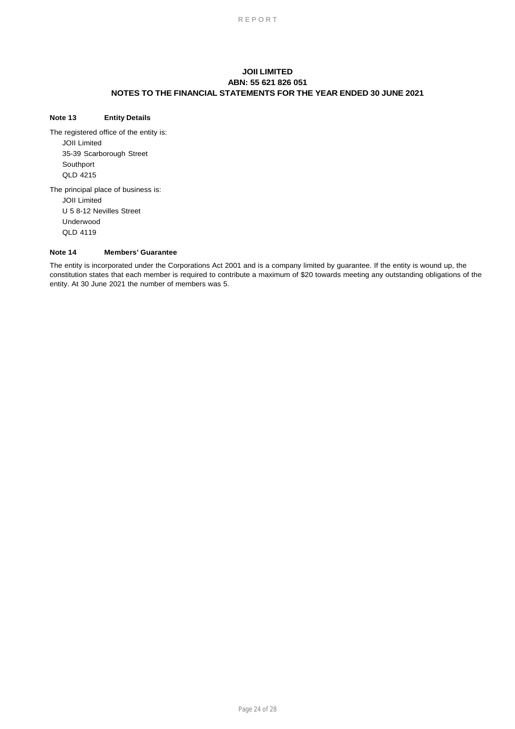### **Note 13 Entity Details**

35-39 Scarborough Street JOII Limited The principal place of business is: QLD 4215 Southport The registered office of the entity is: JOII Limited

QLD 4119 U 5 8-12 Nevilles Street Underwood

#### **Note 14 Members' Guarantee**

The entity is incorporated under the Corporations Act 2001 and is a company limited by guarantee. If the entity is wound up, the constitution states that each member is required to contribute a maximum of \$20 towards meeting any outstanding obligations of the entity. At 30 June 2021 the number of members was 5.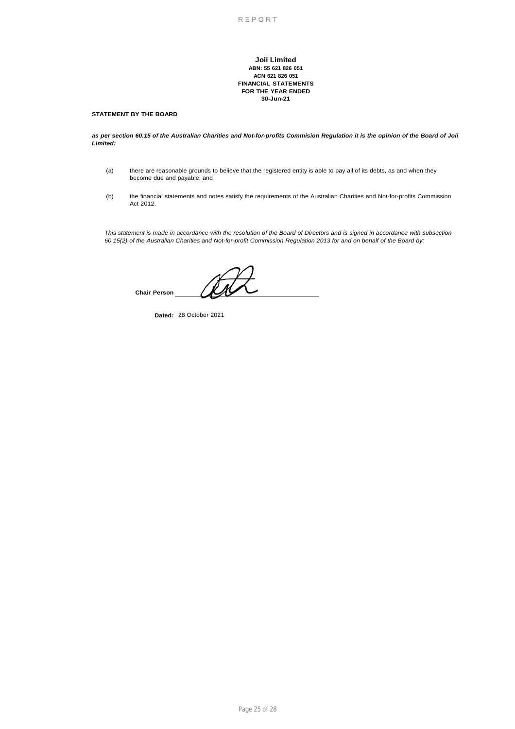**Joii Limited ABN: 55 621 826 051 ACN 621 826 051 FINANCIAL STATEMENTS FOR THE YEAR ENDED 30-Jun-21**

### **STATEMENT BY THE BOARD**

as per section 60.15 of the Australian Charities and Not-for-profits Commision Regulation it is the opinion of the Board of Joii *Limited:*

- (a) there are reasonable grounds to believe that the registered entity is able to pay all of its debts, as and when they become due and payable; and
- (b) the financial statements and notes satisfy the requirements of the Australian Charities and Not-for-profits Commission Act 2012.

This statement is made in accordance with the resolution of the Board of Directors and is signed in accordance with subsection 60.15(2) of the Australian Charities and Not-for-profit Commission Regulation 2013 for and on behalf of the Board by:

**Chair Person**

**Dated:** 28 October 2021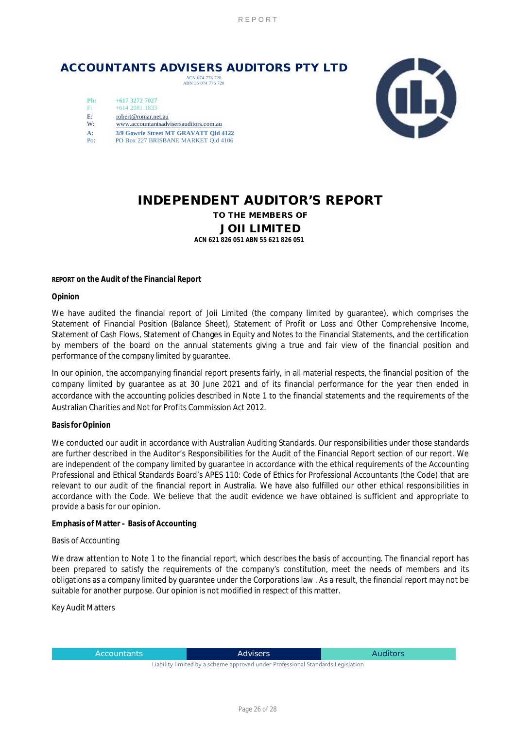## **ACCOUNTANTS ADVISERS AUDITORS PTY LTD**

ACN 074 776 720 ABN 35 074 776 720

| Ph:   | $+617$ 3272 7027                       |
|-------|----------------------------------------|
| $F^*$ | $+61420811833$                         |
| E:    | robert@romar.net.au                    |
| W:    | www.accountantsadvisersauditors.com.au |
| A:    | 3/9 Gowrie Street MT GRAVATT Old 4122  |
| Po:   | PO Box 227 BRISBANE MARKET Old 4106    |



# **INDEPENDENT AUDITOR'S REPORT**

**TO THE MEMBERS OF**

## **JOII LIMITED**

**ACN 621 826 051 ABN 55 621 826 051** 

**REPORT on the Audit of the Financial Report** 

**Opinion** 

We have audited the financial report of Joii Limited (the company limited by guarantee), which comprises the Statement of Financial Position (Balance Sheet), Statement of Profit or Loss and Other Comprehensive Income, Statement of Cash Flows, Statement of Changes in Equity and Notes to the Financial Statements, and the certification by members of the board on the annual statements giving a true and fair view of the financial position and performance of the company limited by guarantee.

In our opinion, the accompanying financial report presents fairly, in all material respects, the financial position of the company limited by guarantee as at 30 June 2021 and of its financial performance for the year then ended in accordance with the accounting policies described in Note 1 to the financial statements and the requirements of the Australian Charities and Not for Profits Commission Act 2012.

### **Basisfor Opinion**

We conducted our audit in accordance with Australian Auditing Standards. Our responsibilities under those standards are further described in the Auditor's Responsibilities for the Audit of the Financial Report section of our report. We are independent of the company limited by guarantee in accordance with the ethical requirements of the Accounting Professional and Ethical Standards Board's APES 110: Code of Ethics for Professional Accountants (the Code) that are relevant to our audit of the financial report in Australia. We have also fulfilled our other ethical responsibilities in accordance with the Code. We believe that the audit evidence we have obtained is sufficient and appropriate to provide a basis for our opinion.

**Emphasis of Matter – Basis of Accounting** 

### Basis of Accounting

We draw attention to Note 1 to the financial report, which describes the basis of accounting. The financial report has been prepared to satisfy the requirements of the company's constitution, meet the needs of members and its obligations as a company limited by guarantee under the Corporations law . As a result, the financial report may not be suitable for another purpose. Our opinion is not modified in respect of this matter.

Key Audit Matters

Accountants **Advisers** Advisers Auditors **Auditors** 

Liability limited by a scheme approved under Professional Standards Legislation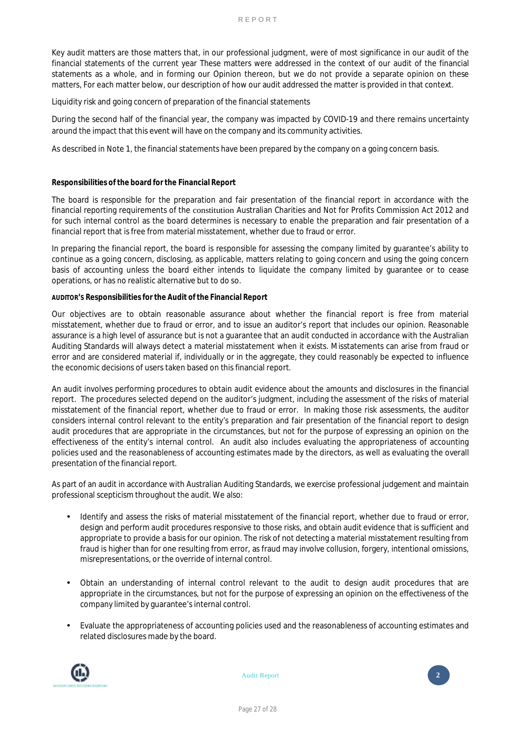Key audit matters are those matters that, in our professional judgment, were of most significance in our audit of the financial statements of the current year These matters were addressed in the context of our audit of the financial statements as a whole, and in forming our Opinion thereon, but we do not provide a separate opinion on these matters, For each matter below, our description of how our audit addressed the matter is provided in that context.

Liquidity risk and going concern of preparation of the financial statements

During the second half of the financial year, the company was impacted by COVID-19 and there remains uncertainty around the impact that this event will have on the company and its community activities.

As described in Note 1, the financial statements have been prepared by the company on a going concern basis.

### **Responsibilities of the board for the Financial Report**

The board is responsible for the preparation and fair presentation of the financial report in accordance with the financial reporting requirements of the constitution Australian Charities and Not for Profits Commission Act 2012 and for such internal control as the board determines is necessary to enable the preparation and fair presentation of a financial report that is free from material misstatement, whether due to fraud or error.

In preparing the financial report, the board is responsible for assessing the company limited by guarantee's ability to continue as a going concern, disclosing, as applicable, matters relating to going concern and using the going concern basis of accounting unless the board either intends to liquidate the company limited by guarantee or to cease operations, or has no realistic alternative but to do so.

### **AUDITOR'S Responsibilities for the Audit of the Financial Report**

Our objectives are to obtain reasonable assurance about whether the financial report is free from material misstatement, whether due to fraud or error, and to issue an auditor's report that includes our opinion. Reasonable assurance is a high level of assurance but is not a guarantee that an audit conducted in accordance with the Australian Auditing Standards will always detect a material misstatement when it exists. Misstatements can arise from fraud or error and are considered material if, individually or in the aggregate, they could reasonably be expected to influence the economic decisions of users taken based on this financial report.

An audit involves performing procedures to obtain audit evidence about the amounts and disclosures in the financial report. The procedures selected depend on the auditor's judgment, including the assessment of the risks of material misstatement of the financial report, whether due to fraud or error. In making those risk assessments, the auditor considers internal control relevant to the entity's preparation and fair presentation of the financial report to design audit procedures that are appropriate in the circumstances, but not for the purpose of expressing an opinion on the effectiveness of the entity's internal control. An audit also includes evaluating the appropriateness of accounting policies used and the reasonableness of accounting estimates made by the directors, as well as evaluating the overall presentation of the financial report.

As part of an audit in accordance with Australian Auditing Standards, we exercise professional judgement and maintain professional scepticism throughout the audit. We also:

- Identify and assess the risks of material misstatement of the financial report, whether due to fraud or error, design and perform audit procedures responsive to those risks, and obtain audit evidence that is sufficient and appropriate to provide a basis for our opinion. The risk of not detecting a material misstatement resulting from fraud is higher than for one resulting from error, as fraud may involve collusion, forgery, intentional omissions, misrepresentations, or the override of internal control.
- Obtain an understanding of internal control relevant to the audit to design audit procedures that are appropriate in the circumstances, but not for the purpose of expressing an opinion on the effectiveness of the company limited by guarantee's internal control.
- Evaluate the appropriateness of accounting policies used and the reasonableness of accounting estimates and related disclosures made by the board.



Audit Report